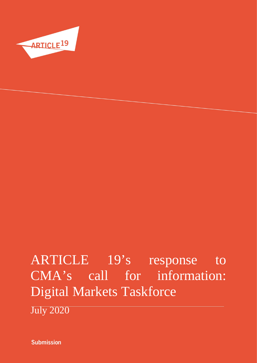

# ARTICLE 19's response to CMA's call for information: Digital Markets Taskforce

July 2020

**Submission**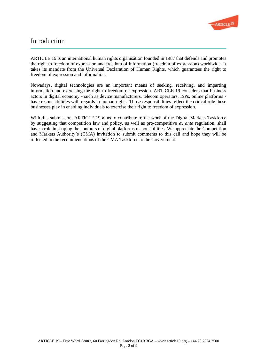

# **Introduction**

ARTICLE 19 is an international human rights organisation founded in 1987 that defends and promotes the right to freedom of expression and freedom of information (freedom of expression) worldwide. It takes its mandate from the Universal Declaration of Human Rights, which guarantees the right to freedom of expression and information.

Nowadays, digital technologies are an important means of seeking, receiving, and imparting information and exercising the right to freedom of expression. ARTICLE 19 considers that business actors in digital economy - such as device manufacturers, telecom operators, ISPs, online platforms have responsibilities with regards to human rights. Those responsibilities reflect the critical role these businesses play in enabling individuals to exercise their right to freedom of expression.

With this submission, ARTICLE 19 aims to contribute to the work of the Digital Markets Taskforce by suggesting that competition law and policy, as well as pro-competitive ex ante regulation, shall have a role in shaping the contours of digital platforms responsibilities. We appreciate the Competition and Markets Authority's (CMA) invitation to submit comments to this call and hope they will be reflected in the recommendations of the CMA Taskforce to the Government.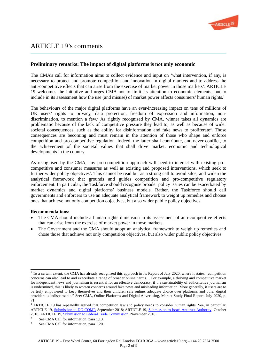

# ARTICLE 19's comments

# Preliminary remarks: The impact of digital platforms is not only economic

The CMA's call for information aims to collect evidence and input on 'what intervention, if any, is necessary to protect and promote competition and innovation in digital markets and to address the anti-competitive effects that can arise from the exercise of market power in those markets'. ARTICLE 19 welcomes the initiative and urges CMA not to limit its attention to economic elements, but to include in its assessment how the use (and misuse) of market power affects consumers' human rights. $1$ 

The behaviours of the major digital platforms have an ever-increasing impact on tens of millions of UK users' rights to privacy, data protection, freedom of expression and information, nondiscrimination, to mention a few.<sup>2</sup> As rightly recognised by CMA, winner takes all dynamics are problematic because of the lack of competitive pressure they lead to, as well as because of wider societal consequences, such as the ability for disinformation and fake news to proliferate<sup>3</sup>. Those consequences are becoming and must remain in the attention of those who shape and enforce competition and pro-competitive regulation. Indeed, the latter shall contribute, and never conflict, to the achievement of the societal values that shall drive market, economic and technological developments in the country.

As recognised by the CMA, any pro-competition approach will need to interact with existing procompetitive and consumer measures as well as existing and proposed interventions, which seek to further wider policy objectives<sup>4</sup>. This cannot be read but as a strong call to avoid silos, and widen the analytical framework that grounds and guides competition and pro-competitive regulatory enforcement. In particular, the Taskforce should recognise broader policy issues can be exacerbated by market dynamics and digital platforms' business models. Rather, the Taskforce should call governments and enforcers to use an adequate analytical framework to weight up remedies and choose ones that achieve not only competition objectives, but also wider public policy objectives.

#### Recommendations:

- The CMA should include a human rights dimension in its assessment of anti-competitive effects that can arise from the exercise of market power in those markets.
- The Government and the CMA should adopt an analytical framework to weigh up remedies and chose those that achieve not only competition objectives, but also wider public policy objectives.

 $1$  To a certain extent, the CMA has already recognized this approach in its Report of July 2020, where it states: 'competition concerns can also lead to and exacerbate a range of broader online harms… For example, a thriving and competitive market for independent news and journalism is essential for an effective democracy: if the sustainability of authoritative journalism is undermined, this is likely to worsen concerns around fake news and misleading information. More generally, if users are to be truly empowered to keep themselves and their children safe online, adequate choice over platforms and other digital providers is indispensable." See: CMA, Online Platforms and Digital Advertising, Market Study Final Report, July 2020, p. 71.

<sup>&</sup>lt;sup>2</sup> ARTICLE 19 has repeatedly argued that competition law and policy needs to consider human rights. See, in particular, ARTICLE 19, Submission to DG COMP, September 2018; ARTICLE 19, Submission to Israel Antitrust Authority, October 2018; ARTICLE 19, Submission to Federal Trade Commission, November 2018.

<sup>3</sup> See CMA Call for information, para 1.13.

<sup>4</sup> See CMA Call for information, para 1.20.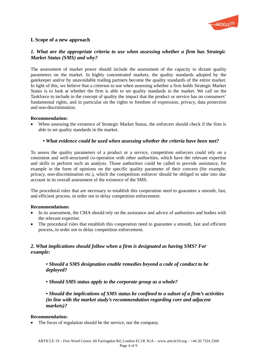

# I. Scope of a new approach

# 1. What are the appropriate criteria to use when assessing whether a firm has Strategic Market Status (SMS) and why?

The assessment of market power should include the assessment of the capacity to dictate quality parameters on the market. In highly concentrated markets, the quality standards adopted by the gatekeeper and/or by unavoidable trading partners become the quality standards of the entire market. In light of this, we believe that a criterion to use when assessing whether a firm holds Strategic Market Status is to look at whether the firm is able to set quality standards in the market. We call on the Taskforce to include in the concept of quality the impact that the product or service has on consumers' fundamental rights, and in particular on the rights to freedom of expression, privacy, data protection and non-discrimination.

#### Recommendation:

 When assessing the existence of Strategic Market Status, the enforcers should check if the firm is able to set quality standards in the market.

#### • What evidence could be used when assessing whether the criteria have been met?

To assess the quality parameters of a product or a service, competition enforcers could rely on a consistent and well-structured co-operation with other authorities, which have the relevant expertise and skills to perform such an analysis. Those authorities could be called to provide assistance, for example in the form of opinions on the specific quality parameter of their concern (for example, privacy, non-discrimination etc.), which the competition enforcer should be obliged to take into due account in its overall assessment of the existence of the SMS.

The procedural rules that are necessary to establish this cooperation need to guarantee a smooth, fast, and efficient process, in order not to delay competition enforcement.

#### Recommendations:

- In its assessment, the CMA should rely on the assistance and advice of authorities and bodies with the relevant expertise.
- The procedural rules that establish this cooperation need to guarantee a smooth, fast and efficient process, in order not to delay competition enforcement.

# 2. What implications should follow when a firm is designated as having SMS? For example:

• Should a SMS designation enable remedies beyond a code of conduct to be deployed?

• Should SMS status apply to the corporate group as a whole?

• Should the implications of SMS status be confined to a subset of a firm's activities (in line with the market study's recommendation regarding core and adjacent markets)?

#### Recommendation:

The focus of regulation should be the service, not the company.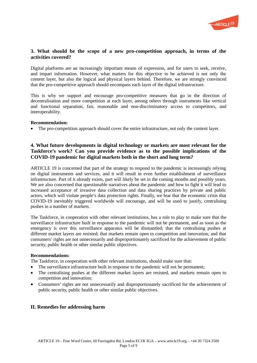

## 3. What should be the scope of a new pro-competition approach, in terms of the activities covered?

Digital platforms are an increasingly important means of expression, and for users to seek, receive, and impart information. However, what matters for this objective to be achieved is not only the content layer, but also the logical and physical layers behind. Therefore, we are strongly convinced that the pro-competitive approach should encompass each layer of the digital infrastructure.

This is why we support and encourage pro-competitive measures that go in the direction of decentralisation and more competition at each layer, among others through instruments like vertical and functional separation, fair, reasonable and non-discriminatory access to competitors, and interoperability.

#### Recommendation:

The pro-competition approach should cover the entire infrastructure, not only the content layer.

# 4. What future developments in digital technology or markets are most relevant for the Taskforce's work? Can you provide evidence as to the possible implications of the COVID-19 pandemic for digital markets both in the short and long term?

ARTICLE 19 is concerned that part of the strategy to respond to the pandemic is increasingly relying on digital instruments and services, and it will result in even further establishment of surveillance infrastructure. Part of it already exists, part will likely be set in the coming months and possibly years. We are also concerned that questionable narratives about the pandemic and how to fight it will lead to increased acceptance of invasive data collection and data sharing practices by private and public actors, which will violate people's data protection rights. Finally, we fear that the economic crisis that COVID-19 inevitably triggered worldwide will encourage, and will be used to justify, centralising pushes in a number of markets.

The Taskforce, in cooperation with other relevant institutions, has a role to play to make sure that the surveillance infrastructure built in response to the pandemic will not be permanent, and as soon as the emergency is over this surveillance apparatus will be dismantled; that the centralising pushes at different market layers are resisted; that markets remain open to competition and innovation; and that consumers' rights are not unnecessarily and disproportionately sacrificed for the achievement of public security, public health or other similar public objectives.

#### Recommendations:

The Taskforce, in cooperation with other relevant institutions, should make sure that:

- The surveillance infrastructure built in response to the pandemic will not be permanent;
- The centralising pushes at the different market layers are resisted, and markets remain open to competition and innovation;
- Consumers' rights are not unnecessarily and disproportionately sacrificed for the achievement of public security, public health or other similar public objectives.

# II. Remedies for addressing harm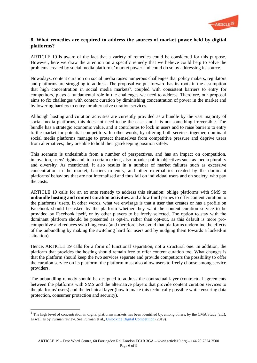

# 8. What remedies are required to address the sources of market power held by digital platforms?

ARTICLE 19 is aware of the fact that a variety of remedies could be considered for this purpose. However, here we draw the attention on a specific remedy that we believe could help to solve the problems created by social media platforms' market power and could do so by addressing its source.

Nowadays, content curation on social media raises numerous challenges that policy makers, regulators and platforms are struggling to address. The proposal we put forward has its roots in the assumption that high concentration in social media markets<sup>5</sup>, coupled with consistent barriers to entry for competitors, plays a fundamental role in the challenges we need to address. Therefore, our proposal aims to fix challenges with content curation by diminishing concentration of power in the market and by lowering barriers to entry for alternative curation services.

Although hosting and curation activities are currently provided as a bundle by the vast majority of social media platforms, this does not need to be the case, and it is not something irreversible. The bundle has a strategic economic value, and it contributes to lock in users and to raise barriers to entry to the market for potential competitors. In other words, by offering both services together, dominant social media platforms manage to protect themselves from competitive pressure and deprive users from alternatives; they are able to hold their gatekeeping position safely.

This scenario is undesirable from a number of perspectives, and has an impact on competition, innovation, users' rights and, to a certain extent, also broader public objectives such as media plurality and diversity. As mentioned, it also results in a number of market failures such as excessive concentration in the market, barriers to entry, and other externalities created by the dominant platforms' behaviors that are not internalised and thus fall on individual users and on society, who pay the costs.

ARTICLE 19 calls for an ex ante remedy to address this situation: oblige platforms with SMS to unbundle hosting and content curation activities, and allow third parties to offer content curation to the platforms' users. In other words, what we envisage is that a user that creates or has a profile on Facebook should be asked by the platform whether they want the content curation service to be provided by Facebook itself, or by other players to be freely selected. The option to stay with the dominant platform should be presented as opt-in, rather than opt-out, as this default is more procompetitive and reduces switching costs (and therefore also avoid that platforms undermine the effects of the unbundling by making the switching hard for users and by nudging them towards a locked-in situation).

Hence, ARTICLE 19 calls for a form of functional separation, not a structural one. In addition, the platform that provides the hosting should remain free to offer content curation too. What changes is that the platform should keep the two services separate and provide competitors the possibility to offer the curation service on its platform; the platform must also allow users to freely choose among service providers.

The unbundling remedy should be designed to address the contractual layer (contractual agreements between the platforms with SMS and the alternative players that provide content curation services to the platforms' users) and the technical layer (how to make this technically possible while ensuring data protection, consumer protection and security).

 $5$  The high level of concentration in digital platforms markets has been identified by, among others, by the CMA Study (cit.), as well as by Furman review. See Furman et al., Unlocking Digital Competition (2019).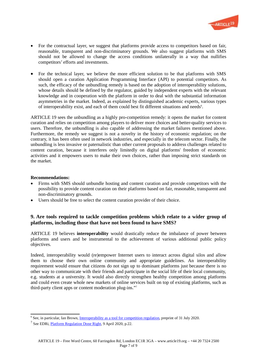

- For the contractual layer, we suggest that platforms provide access to competitors based on fair, reasonable, transparent and non-discriminatory grounds. We also suggest platforms with SMS should not be allowed to change the access conditions unilaterally in a way that nullifies competitors' efforts and investments.
- For the technical layer, we believe the more efficient solution to be that platforms with SMS should open a curation Application Programming Interface (API) to potential competitors. As such, the efficacy of the unbundling remedy is based on the adoption of interoperability solutions, whose details should be defined by the regulator, guided by independent experts with the relevant knowledge and in cooperation with the platform in order to deal with the substantial information asymmetries in the market. Indeed, as explained by distinguished academic experts, various types of interoperability exist, and each of them could best fit different situations and needs<sup>6</sup>.

ARTICLE 19 sees the unbundling as a highly pro-competition remedy: it opens the market for content curation and relies on competition among players to deliver more choices and better-quality services to users. Therefore, the unbundling is also capable of addressing the market failures mentioned above. Furthermore, the remedy we suggest is not a novelty in the history of economic regulation; on the contrary, it has been often used in network industries, and especially in the telecom sector. Finally, the unbundling is less invasive or paternalistic than other current proposals to address challenges related to content curation, because it interferes only limitedly on digital platforms' freedom of economic activities and it empowers users to make their own choices, rather than imposing strict standards on the market.

#### Recommendations:

- Firms with SMS should unbundle hosting and content curation and provide competitors with the possibility to provide content curation on their platforms based on fair, reasonable, transparent and non-discriminatory grounds.
- Users should be free to select the content curation provider of their choice.

# 9. Are tools required to tackle competition problems which relate to a wider group of platforms, including those that have not been found to have SMS?

ARTICLE 19 believes **interoperability** would drastically reduce the imbalance of power between platforms and users and be instrumental to the achievement of various additional public policy objectives.

Indeed, interoperability would (re)empower Internet users to interact across digital silos and allow them to choose their own online community and appropriate guidelines. An interoperability requirement would ensure that citizens do not sign up to dominant platforms just because there is no other way to communicate with their friends and participate in the social life of their local community, e.g. students at a university. It would also directly strengthen healthy competition among platforms and could even create whole new markets of online services built on top of existing platforms, such as third-party client apps or content moderation plug-ins."<sup>7</sup>

<sup>&</sup>lt;sup>6</sup> See, in particular, Ian Brown, *Interoperability as a tool for competition regulation*, preprint of 31 July 2020.

<sup>&</sup>lt;sup>7</sup> See EDRi, *Platform Regulation Done Right*, 9 April 2020, p.22.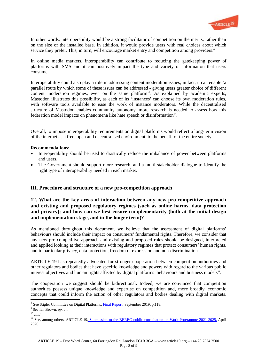

In other words, interoperability would be a strong facilitator of competition on the merits, rather than on the size of the installed base. In addition, it would provide users with real choices about which service they prefer. This, in turn, will encourage market entry and competition among providers.<sup>8</sup>

In online media markets, interoperability can contribute to reducing the gatekeeping power of platforms with SMS and it can positively impact the type and variety of information that users consume.

Interoperability could also play a role in addressing content moderation issues; in fact, it can enable 'a parallel route by which some of these issues can be addressed - giving users greater choice of different content moderation regimes, even on the same platform'<sup>9</sup> . As explained by academic experts, Mastodon illustrates this possibility, as each of its 'instances' can choose its own moderation rules, with software tools available to ease the work of instance moderators. While the decentralised structure of Mastodon enables community autonomy, more research is needed to assess how this federation model impacts on phenomena like hate speech or disinformation<sup>10</sup>.

Overall, to impose interoperability requirements on digital platforms would reflect a long-term vision of the internet as a free, open and decentralised environment, to the benefit of the entire society.

#### Recommendations:

- Interoperability should be used to drastically reduce the imbalance of power between platforms and users.
- The Government should support more research, and a multi-stakeholder dialogue to identify the right type of interoperability needed in each market.

#### III. Procedure and structure of a new pro-competition approach

# 12. What are the key areas of interaction between any new pro-competitive approach and existing and proposed regulatory regimes (such as online harms, data protection and privacy); and how can we best ensure complementarity (both at the initial design and implementation stage, and in the longer term)?

As mentioned throughout this document, we believe that the assessment of digital platforms' behaviours should include their impact on consumers' fundamental rights. Therefore, we consider that any new pro-competitive approach and existing and proposed rules should be designed, interpreted and applied looking at their interactions with regulatory regimes that protect consumers' human rights, and in particular privacy, data protection, freedom of expression and non-discrimination.

ARTICLE 19 has repeatedly advocated for stronger cooperation between competition authorities and other regulators and bodies that have specific knowledge and powers with regard to the various public interest objectives and human rights affected by digital platforms' behaviours and business models<sup>11</sup>.

The cooperation we suggest should be bidirectional. Indeed, we are convinced that competition authorities possess unique knowledge and expertise on competition and, more broadly, economic concepts that could inform the action of other regulators and bodies dealing with digital markets.

<sup>&</sup>lt;sup>8</sup> See Stigler Committee on Digital Platforms, *Final Report*, September 2019, p.118.

<sup>&</sup>lt;sup>9</sup> See Ian Brown, op. cit.

 $10$  Ibid.

<sup>&</sup>lt;sup>11</sup> See, among others, ARTICLE 19, Submission to the BEREC public consultation on Work Programme 2021-2025, April 2020.